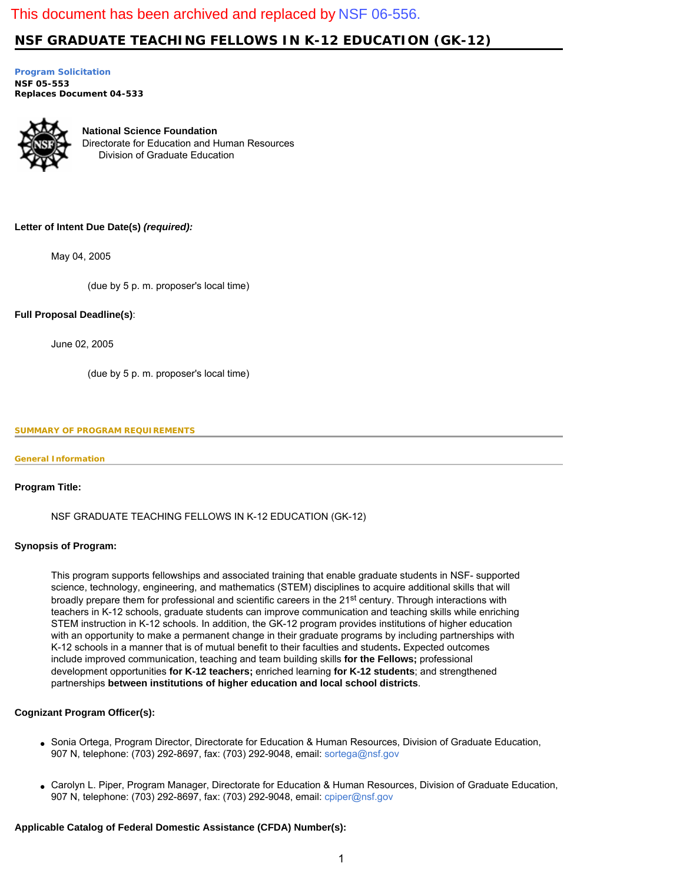# This document has been archived and replaced by [NSF 06-556.](http://www.nsf.gov/publications/pub_summ.jsp?ods_key=nsf06556)

# **NSF GRADUATE TEACHING FELLOWS IN K-12 EDUCATION (GK-12)**

**[Program Solicitation](#page-1-0) NSF 05-553**  *Replaces Document* **04-533** 



**National Science Foundation** Directorate for Education and Human Resources Division of Graduate Education

# **Letter of Intent Due Date(s)** *(required):*

May 04, 2005

(due by 5 p. m. proposer's local time)

# **Full Proposal Deadline(s)**:

June 02, 2005

(due by 5 p. m. proposer's local time)

# <span id="page-0-0"></span>**SUMMARY OF PROGRAM REQUIREMENTS**

# **General Information**

# **Program Title:**

NSF GRADUATE TEACHING FELLOWS IN K-12 EDUCATION (GK-12)

# **Synopsis of Program:**

This program supports fellowships and associated training that enable graduate students in NSF- supported science, technology, engineering, and mathematics (STEM) disciplines to acquire additional skills that will broadly prepare them for professional and scientific careers in the 21<sup>st</sup> century. Through interactions with teachers in K-12 schools, graduate students can improve communication and teaching skills while enriching STEM instruction in K-12 schools. In addition, the GK-12 program provides institutions of higher education with an opportunity to make a permanent change in their graduate programs by including partnerships with K-12 schools in a manner that is of mutual benefit to their faculties and students**.** Expected outcomes include improved communication, teaching and team building skills **for the Fellows;** professional development opportunities **for K-12 teachers;** enriched learning **for K-12 students**; and strengthened partnerships **between institutions of higher education and local school districts**.

# **Cognizant Program Officer(s):**

- Sonia Ortega, Program Director, Directorate for Education & Human Resources, Division of Graduate Education, 907 N, telephone: (703) 292-8697, fax: (703) 292-9048, email: [sortega@nsf.gov](mailto:sortega@nsf.gov)
- Carolyn L. Piper, Program Manager, Directorate for Education & Human Resources, Division of Graduate Education, 907 N, telephone: (703) 292-8697, fax: (703) 292-9048, email: [cpiper@nsf.gov](mailto:cpiper@nsf.gov)

# **Applicable Catalog of Federal Domestic Assistance (CFDA) Number(s):**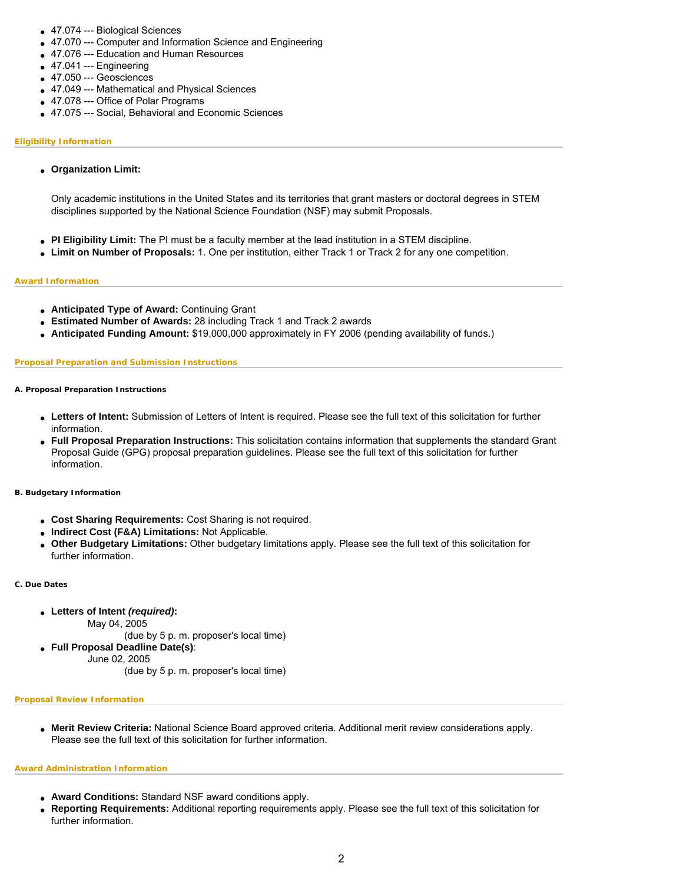- 47.074 --- Biological Sciences
- 47.070 --- Computer and Information Science and Engineering
- 47.076 --- Education and Human Resources
- $-47.041 -$ Engineering
- 47.050 --- Geosciences
- 47.049 --- Mathematical and Physical Sciences
- 47.078 --- Office of Polar Programs
- 47.075 --- Social, Behavioral and Economic Sciences

### **Eligibility Information**

● **Organization Limit:** 

Only academic institutions in the United States and its territories that grant masters or doctoral degrees in STEM disciplines supported by the National Science Foundation (NSF) may submit Proposals.

- **PI Eligibility Limit:** The PI must be a faculty member at the lead institution in a STEM discipline.
- **Limit on Number of Proposals:** 1. One per institution, either Track 1 or Track 2 for any one competition.

### **Award Information**

- **Anticipated Type of Award:** Continuing Grant
- **Estimated Number of Awards:** 28 including Track 1 and Track 2 awards
- **Anticipated Funding Amount:** \$19,000,000 approximately in FY 2006 (pending availability of funds.)

# **Proposal Preparation and Submission Instructions**

### **A. Proposal Preparation Instructions**

- **Letters of Intent:** Submission of Letters of Intent is required. Please see the full text of this solicitation for further information.
- **Full Proposal Preparation Instructions:** This solicitation contains information that supplements the standard Grant Proposal Guide (GPG) proposal preparation guidelines. Please see the full text of this solicitation for further information.

#### **B. Budgetary Information**

- **Cost Sharing Requirements:** Cost Sharing is not required.
- **Indirect Cost (F&A) Limitations:** Not Applicable.
- **Other Budgetary Limitations:** Other budgetary limitations apply. Please see the full text of this solicitation for further information.

#### **C. Due Dates**

- **Letters of Intent** *(required)***:**
	- May 04, 2005

(due by 5 p. m. proposer's local time)

- **Full Proposal Deadline Date(s)**:
	- June 02, 2005
		- (due by 5 p. m. proposer's local time)

#### **Proposal Review Information**

● **Merit Review Criteria:** National Science Board approved criteria. Additional merit review considerations apply. Please see the full text of this solicitation for further information.

#### **Award Administration Information**

- **Award Conditions:** Standard NSF award conditions apply.
- <span id="page-1-0"></span>● **Reporting Requirements:** Additional reporting requirements apply. Please see the full text of this solicitation for further information.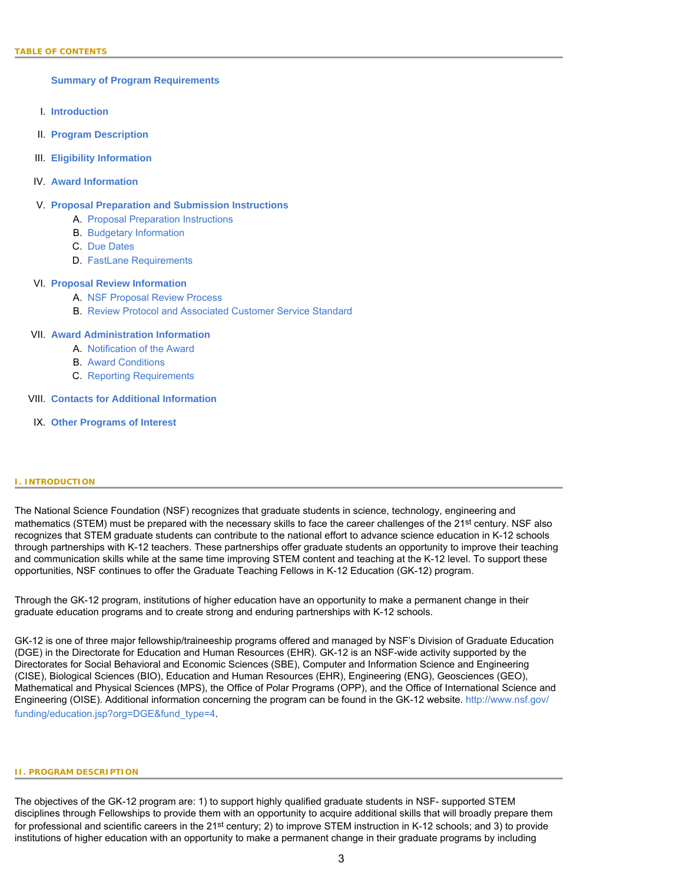**[Summary of Program Requirements](#page-0-0)**

- I. **[Introduction](#page-2-0)**
- II. **[Program Description](#page-2-1)**
- III. **[Eligibility Information](#page-3-0)**
- IV. **[Award Information](#page-4-0)**

# V. **[Proposal Preparation and Submission Instructions](#page-4-1)**

- A. [Proposal Preparation Instructions](#page-4-1)
- B. [Budgetary Information](#page-8-0)
- C. [Due Dates](#page-8-1)
- D. [FastLane Requirements](#page-9-0)

# VI. **[Proposal Review Information](#page-9-1)**

- A. [NSF Proposal Review Process](#page-9-2)
- B. [Review Protocol and Associated Customer Service Standard](#page-11-0)

# VII. **[Award Administration Information](#page-11-1)**

- A. [Notification of the Award](#page-11-2)
- B. [Award Conditions](#page-11-3)
- C. [Reporting Requirements](#page-12-0)

# VIII. **[Contacts for Additional Information](#page-12-1)**

IX. **[Other Programs of Interest](#page-12-2)**

# <span id="page-2-0"></span>**I. INTRODUCTION**

The National Science Foundation (NSF) recognizes that graduate students in science, technology, engineering and mathematics (STEM) must be prepared with the necessary skills to face the career challenges of the 21<sup>st</sup> century. NSF also recognizes that STEM graduate students can contribute to the national effort to advance science education in K-12 schools through partnerships with K-12 teachers. These partnerships offer graduate students an opportunity to improve their teaching and communication skills while at the same time improving STEM content and teaching at the K-12 level. To support these opportunities, NSF continues to offer the Graduate Teaching Fellows in K-12 Education (GK-12) program.

Through the GK-12 program, institutions of higher education have an opportunity to make a permanent change in their graduate education programs and to create strong and enduring partnerships with K-12 schools.

GK-12 is one of three major fellowship/traineeship programs offered and managed by NSF's Division of Graduate Education (DGE) in the Directorate for Education and Human Resources (EHR). GK-12 is an NSF-wide activity supported by the Directorates for Social Behavioral and Economic Sciences (SBE), Computer and Information Science and Engineering (CISE), Biological Sciences (BIO), Education and Human Resources (EHR), Engineering (ENG), Geosciences (GEO), Mathematical and Physical Sciences (MPS), the Office of Polar Programs (OPP), and the Office of International Science and Engineering (OISE). Additional information concerning the program can be found in the GK-12 website. [http://www.nsf.gov/](http://www.nsf.gov/funding/education.jsp?org=DGE&fund_type=4) [funding/education.jsp?org=DGE&fund\\_type=4](http://www.nsf.gov/funding/education.jsp?org=DGE&fund_type=4).

### <span id="page-2-1"></span>**II. PROGRAM DESCRIPTION**

The objectives of the GK-12 program are: 1) to support highly qualified graduate students in NSF- supported STEM disciplines through Fellowships to provide them with an opportunity to acquire additional skills that will broadly prepare them for professional and scientific careers in the 21<sup>st</sup> century; 2) to improve STEM instruction in K-12 schools; and 3) to provide institutions of higher education with an opportunity to make a permanent change in their graduate programs by including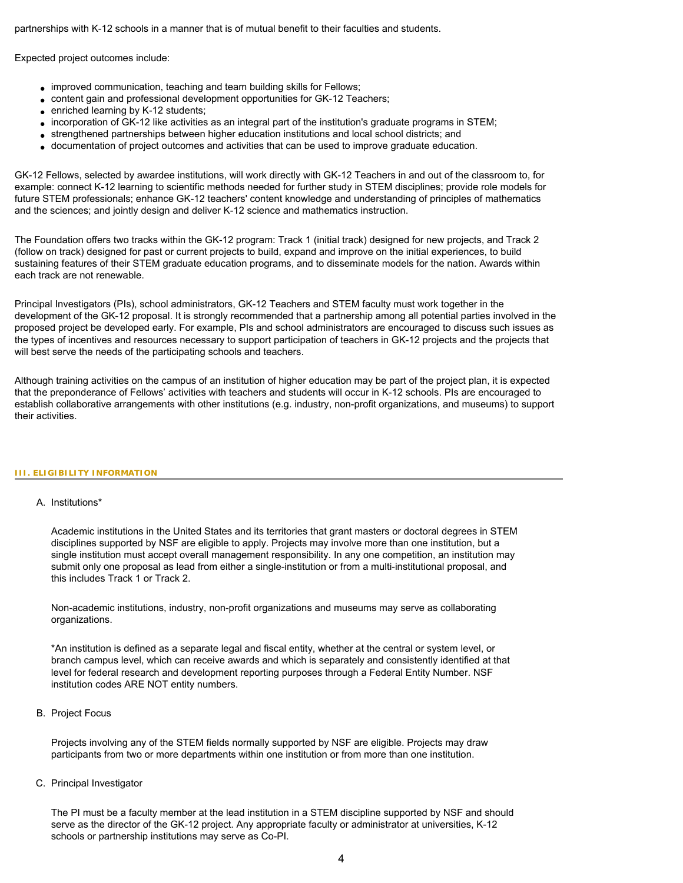partnerships with K-12 schools in a manner that is of mutual benefit to their faculties and students.

Expected project outcomes include:

- improved communication, teaching and team building skills for Fellows;
- content gain and professional development opportunities for GK-12 Teachers;
- enriched learning by K-12 students;
- incorporation of GK-12 like activities as an integral part of the institution's graduate programs in STEM;
- strengthened partnerships between higher education institutions and local school districts; and
- documentation of project outcomes and activities that can be used to improve graduate education.

GK-12 Fellows, selected by awardee institutions, will work directly with GK-12 Teachers in and out of the classroom to, for example: connect K-12 learning to scientific methods needed for further study in STEM disciplines; provide role models for future STEM professionals; enhance GK-12 teachers' content knowledge and understanding of principles of mathematics and the sciences; and jointly design and deliver K-12 science and mathematics instruction.

The Foundation offers two tracks within the GK-12 program: Track 1 (initial track) designed for new projects, and Track 2 (follow on track) designed for past or current projects to build, expand and improve on the initial experiences, to build sustaining features of their STEM graduate education programs, and to disseminate models for the nation. Awards within each track are not renewable.

Principal Investigators (PIs), school administrators, GK-12 Teachers and STEM faculty must work together in the development of the GK-12 proposal. It is strongly recommended that a partnership among all potential parties involved in the proposed project be developed early. For example, PIs and school administrators are encouraged to discuss such issues as the types of incentives and resources necessary to support participation of teachers in GK-12 projects and the projects that will best serve the needs of the participating schools and teachers.

Although training activities on the campus of an institution of higher education may be part of the project plan, it is expected that the preponderance of Fellows' activities with teachers and students will occur in K-12 schools. PIs are encouraged to establish collaborative arrangements with other institutions (e.g. industry, non-profit organizations, and museums) to support their activities.

# <span id="page-3-0"></span>**III. ELIGIBILITY INFORMATION**

# A. Institutions\*

Academic institutions in the United States and its territories that grant masters or doctoral degrees in STEM disciplines supported by NSF are eligible to apply. Projects may involve more than one institution, but a single institution must accept overall management responsibility. In any one competition, an institution may submit only one proposal as lead from either a single-institution or from a multi-institutional proposal, and this includes Track 1 or Track 2.

Non-academic institutions, industry, non-profit organizations and museums may serve as collaborating organizations.

\*An institution is defined as a separate legal and fiscal entity, whether at the central or system level, or branch campus level, which can receive awards and which is separately and consistently identified at that level for federal research and development reporting purposes through a Federal Entity Number. NSF institution codes ARE NOT entity numbers.

# B. Project Focus

Projects involving any of the STEM fields normally supported by NSF are eligible. Projects may draw participants from two or more departments within one institution or from more than one institution.

# C. Principal Investigator

The PI must be a faculty member at the lead institution in a STEM discipline supported by NSF and should serve as the director of the GK-12 project. Any appropriate faculty or administrator at universities, K-12 schools or partnership institutions may serve as Co-PI.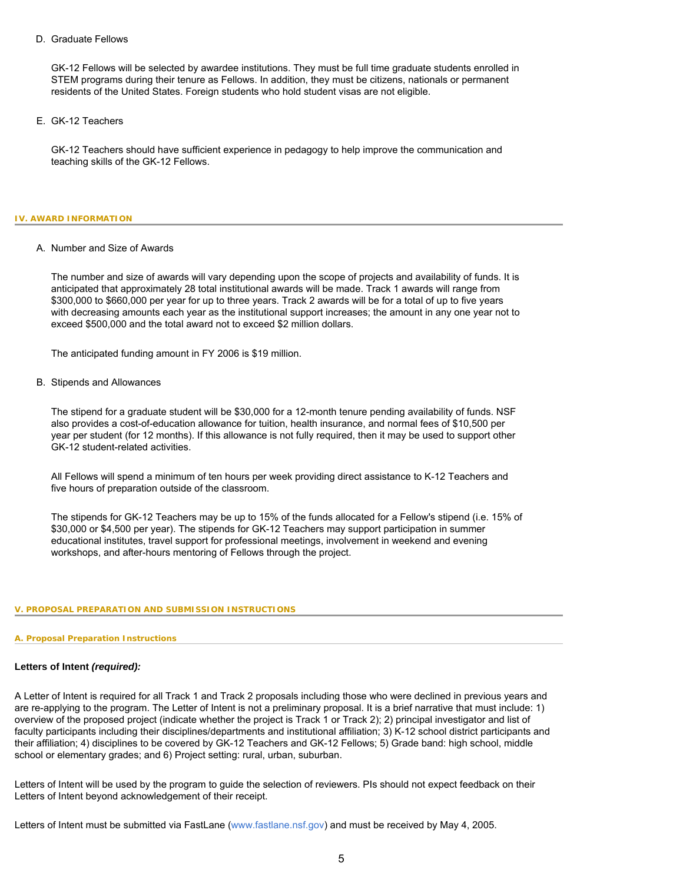# D. Graduate Fellows

GK-12 Fellows will be selected by awardee institutions. They must be full time graduate students enrolled in STEM programs during their tenure as Fellows. In addition, they must be citizens, nationals or permanent residents of the United States. Foreign students who hold student visas are not eligible.

E. GK-12 Teachers

GK-12 Teachers should have sufficient experience in pedagogy to help improve the communication and teaching skills of the GK-12 Fellows.

# <span id="page-4-0"></span>**IV. AWARD INFORMATION**

# A. Number and Size of Awards

The number and size of awards will vary depending upon the scope of projects and availability of funds. It is anticipated that approximately 28 total institutional awards will be made. Track 1 awards will range from \$300,000 to \$660,000 per year for up to three years. Track 2 awards will be for a total of up to five years with decreasing amounts each year as the institutional support increases; the amount in any one year not to exceed \$500,000 and the total award not to exceed \$2 million dollars.

The anticipated funding amount in FY 2006 is \$19 million.

# B. Stipends and Allowances

The stipend for a graduate student will be \$30,000 for a 12-month tenure pending availability of funds. NSF also provides a cost-of-education allowance for tuition, health insurance, and normal fees of \$10,500 per year per student (for 12 months). If this allowance is not fully required, then it may be used to support other GK-12 student-related activities.

All Fellows will spend a minimum of ten hours per week providing direct assistance to K-12 Teachers and five hours of preparation outside of the classroom.

The stipends for GK-12 Teachers may be up to 15% of the funds allocated for a Fellow's stipend (i.e. 15% of \$30,000 or \$4,500 per year). The stipends for GK-12 Teachers may support participation in summer educational institutes, travel support for professional meetings, involvement in weekend and evening workshops, and after-hours mentoring of Fellows through the project.

# <span id="page-4-1"></span>**V. PROPOSAL PREPARATION AND SUBMISSION INSTRUCTIONS**

# **A. Proposal Preparation Instructions**

# **Letters of Intent** *(required):*

A Letter of Intent is required for all Track 1 and Track 2 proposals including those who were declined in previous years and are re-applying to the program. The Letter of Intent is not a preliminary proposal. It is a brief narrative that must include: 1) overview of the proposed project (indicate whether the project is Track 1 or Track 2); 2) principal investigator and list of faculty participants including their disciplines/departments and institutional affiliation; 3) K-12 school district participants and their affiliation; 4) disciplines to be covered by GK-12 Teachers and GK-12 Fellows; 5) Grade band: high school, middle school or elementary grades; and 6) Project setting: rural, urban, suburban.

Letters of Intent will be used by the program to guide the selection of reviewers. PIs should not expect feedback on their Letters of Intent beyond acknowledgement of their receipt.

Letters of Intent must be submitted via FastLane [\(www.fastlane.nsf.gov\)](http://www.fastlane.nsf.gov/) and must be received by May 4, 2005.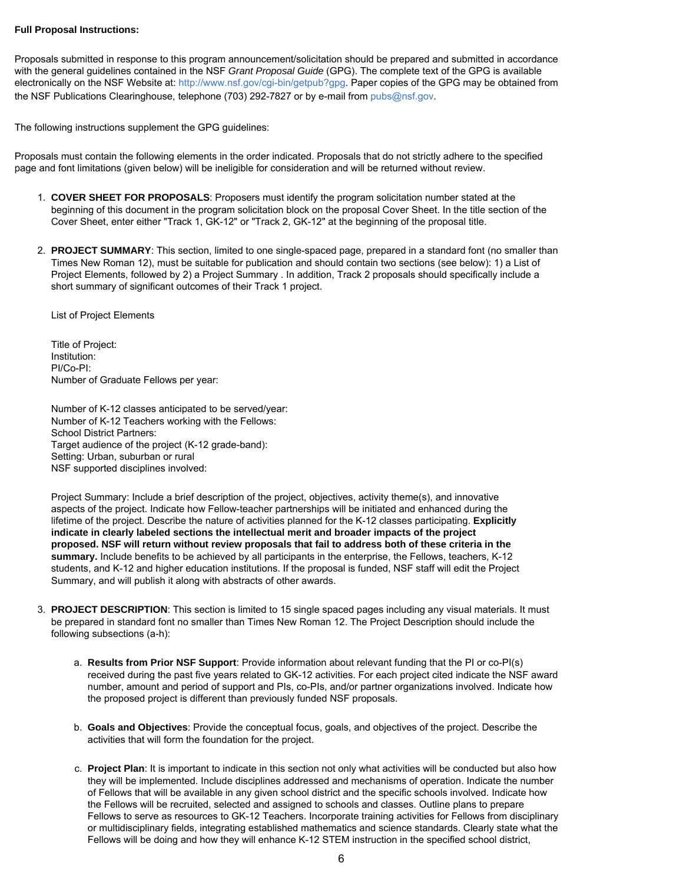# **Full Proposal Instructions:**

Proposals submitted in response to this program announcement/solicitation should be prepared and submitted in accordance with the general guidelines contained in the NSF *Grant Proposal Guide* (GPG). The complete text of the GPG is available electronically on the NSF Website at: [http://www.nsf.gov/cgi-bin/getpub?gpg.](http://www.nsf.gov/cgi-bin/getpub?gpg) Paper copies of the GPG may be obtained from the NSF Publications Clearinghouse, telephone (703) 292-7827 or by e-mail from [pubs@nsf.gov.](mailto:pubs@nsf.gov)

The following instructions supplement the GPG guidelines:

Proposals must contain the following elements in the order indicated. Proposals that do not strictly adhere to the specified page and font limitations (given below) will be ineligible for consideration and will be returned without review.

- 1. **COVER SHEET FOR PROPOSALS**: Proposers must identify the program solicitation number stated at the beginning of this document in the program solicitation block on the proposal Cover Sheet. In the title section of the Cover Sheet, enter either "Track 1, GK-12" or "Track 2, GK-12" at the beginning of the proposal title.
- 2. **PROJECT SUMMARY**: This section, limited to one single-spaced page, prepared in a standard font (no smaller than Times New Roman 12), must be suitable for publication and should contain two sections (see below): 1) a List of Project Elements, followed by 2) a Project Summary . In addition, Track 2 proposals should specifically include a short summary of significant outcomes of their Track 1 project.

List of Project Elements

Title of Project: Institution: PI/Co-PI: Number of Graduate Fellows per year:

Number of K-12 classes anticipated to be served/year: Number of K-12 Teachers working with the Fellows: School District Partners: Target audience of the project (K-12 grade-band): Setting: Urban, suburban or rural NSF supported disciplines involved:

Project Summary: Include a brief description of the project, objectives, activity theme(s), and innovative aspects of the project. Indicate how Fellow-teacher partnerships will be initiated and enhanced during the lifetime of the project. Describe the nature of activities planned for the K-12 classes participating. **Explicitly indicate in clearly labeled sections the intellectual merit and broader impacts of the project proposed. NSF will return without review proposals that fail to address both of these criteria in the summary.** Include benefits to be achieved by all participants in the enterprise, the Fellows, teachers, K-12 students, and K-12 and higher education institutions. If the proposal is funded, NSF staff will edit the Project Summary, and will publish it along with abstracts of other awards.

- 3. **PROJECT DESCRIPTION**: This section is limited to 15 single spaced pages including any visual materials. It must be prepared in standard font no smaller than Times New Roman 12. The Project Description should include the following subsections (a-h):
	- a. **Results from Prior NSF Support**: Provide information about relevant funding that the PI or co-PI(s) received during the past five years related to GK-12 activities. For each project cited indicate the NSF award number, amount and period of support and PIs, co-PIs, and/or partner organizations involved. Indicate how the proposed project is different than previously funded NSF proposals.
	- b. **Goals and Objectives**: Provide the conceptual focus, goals, and objectives of the project. Describe the activities that will form the foundation for the project.
	- c. **Project Plan**: It is important to indicate in this section not only what activities will be conducted but also how they will be implemented. Include disciplines addressed and mechanisms of operation. Indicate the number of Fellows that will be available in any given school district and the specific schools involved. Indicate how the Fellows will be recruited, selected and assigned to schools and classes. Outline plans to prepare Fellows to serve as resources to GK-12 Teachers. Incorporate training activities for Fellows from disciplinary or multidisciplinary fields, integrating established mathematics and science standards. Clearly state what the Fellows will be doing and how they will enhance K-12 STEM instruction in the specified school district,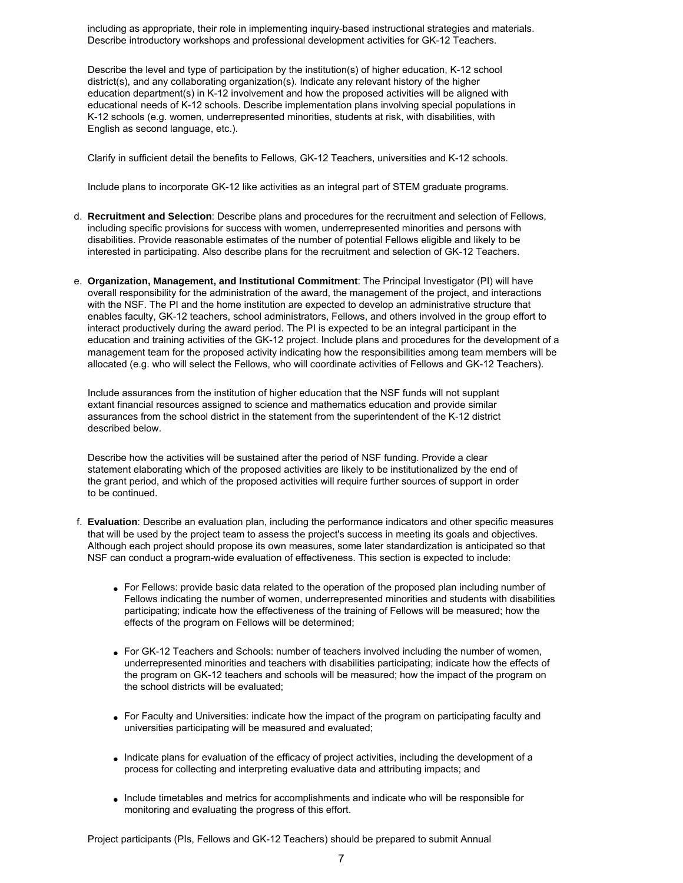including as appropriate, their role in implementing inquiry-based instructional strategies and materials. Describe introductory workshops and professional development activities for GK-12 Teachers.

Describe the level and type of participation by the institution(s) of higher education, K-12 school district(s), and any collaborating organization(s). Indicate any relevant history of the higher education department(s) in K-12 involvement and how the proposed activities will be aligned with educational needs of K-12 schools. Describe implementation plans involving special populations in K-12 schools (e.g. women, underrepresented minorities, students at risk, with disabilities, with English as second language, etc.).

Clarify in sufficient detail the benefits to Fellows, GK-12 Teachers, universities and K-12 schools.

Include plans to incorporate GK-12 like activities as an integral part of STEM graduate programs.

- d. **Recruitment and Selection**: Describe plans and procedures for the recruitment and selection of Fellows, including specific provisions for success with women, underrepresented minorities and persons with disabilities. Provide reasonable estimates of the number of potential Fellows eligible and likely to be interested in participating. Also describe plans for the recruitment and selection of GK-12 Teachers.
- e. **Organization, Management, and Institutional Commitment**: The Principal Investigator (PI) will have overall responsibility for the administration of the award, the management of the project, and interactions with the NSF. The PI and the home institution are expected to develop an administrative structure that enables faculty, GK-12 teachers, school administrators, Fellows, and others involved in the group effort to interact productively during the award period. The PI is expected to be an integral participant in the education and training activities of the GK-12 project. Include plans and procedures for the development of a management team for the proposed activity indicating how the responsibilities among team members will be allocated (e.g. who will select the Fellows, who will coordinate activities of Fellows and GK-12 Teachers).

Include assurances from the institution of higher education that the NSF funds will not supplant extant financial resources assigned to science and mathematics education and provide similar assurances from the school district in the statement from the superintendent of the K-12 district described below.

Describe how the activities will be sustained after the period of NSF funding. Provide a clear statement elaborating which of the proposed activities are likely to be institutionalized by the end of the grant period, and which of the proposed activities will require further sources of support in order to be continued.

- f. **Evaluation**: Describe an evaluation plan, including the performance indicators and other specific measures that will be used by the project team to assess the project's success in meeting its goals and objectives. Although each project should propose its own measures, some later standardization is anticipated so that NSF can conduct a program-wide evaluation of effectiveness. This section is expected to include:
	- For Fellows: provide basic data related to the operation of the proposed plan including number of Fellows indicating the number of women, underrepresented minorities and students with disabilities participating; indicate how the effectiveness of the training of Fellows will be measured; how the effects of the program on Fellows will be determined;
	- For GK-12 Teachers and Schools: number of teachers involved including the number of women, underrepresented minorities and teachers with disabilities participating; indicate how the effects of the program on GK-12 teachers and schools will be measured; how the impact of the program on the school districts will be evaluated;
	- For Faculty and Universities: indicate how the impact of the program on participating faculty and universities participating will be measured and evaluated;
	- Indicate plans for evaluation of the efficacy of project activities, including the development of a process for collecting and interpreting evaluative data and attributing impacts; and
	- Include timetables and metrics for accomplishments and indicate who will be responsible for monitoring and evaluating the progress of this effort.

Project participants (PIs, Fellows and GK-12 Teachers) should be prepared to submit Annual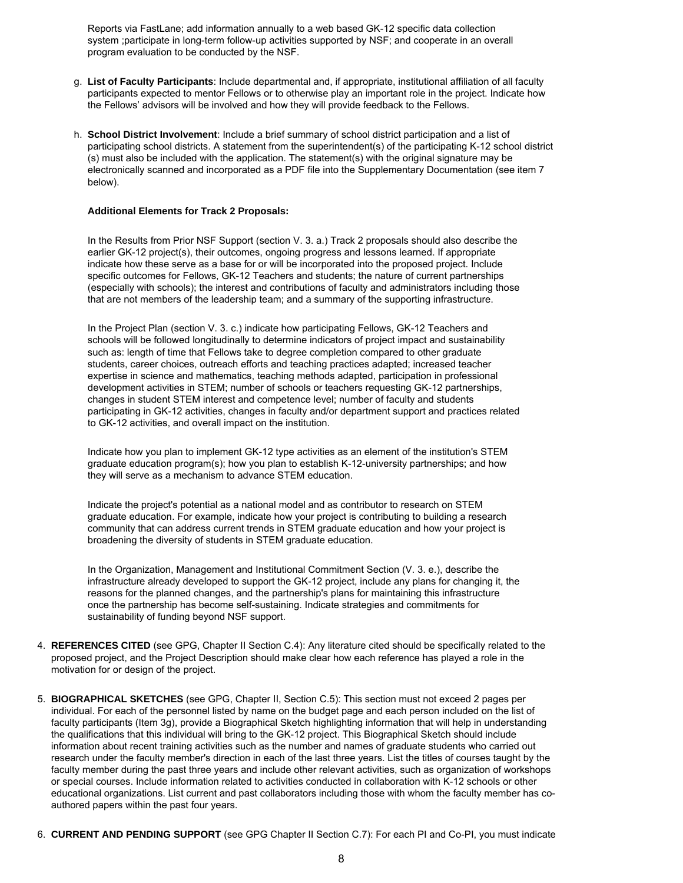Reports via FastLane; add information annually to a web based GK-12 specific data collection system ;participate in long-term follow-up activities supported by NSF; and cooperate in an overall program evaluation to be conducted by the NSF.

- g. **List of Faculty Participants**: Include departmental and, if appropriate, institutional affiliation of all faculty participants expected to mentor Fellows or to otherwise play an important role in the project. Indicate how the Fellows' advisors will be involved and how they will provide feedback to the Fellows.
- h. **School District Involvement**: Include a brief summary of school district participation and a list of participating school districts. A statement from the superintendent(s) of the participating K-12 school district (s) must also be included with the application. The statement(s) with the original signature may be electronically scanned and incorporated as a PDF file into the Supplementary Documentation (see item 7 below).

# **Additional Elements for Track 2 Proposals:**

In the Results from Prior NSF Support (section V. 3. a.) Track 2 proposals should also describe the earlier GK-12 project(s), their outcomes, ongoing progress and lessons learned. If appropriate indicate how these serve as a base for or will be incorporated into the proposed project. Include specific outcomes for Fellows, GK-12 Teachers and students; the nature of current partnerships (especially with schools); the interest and contributions of faculty and administrators including those that are not members of the leadership team; and a summary of the supporting infrastructure.

In the Project Plan (section V. 3. c.) indicate how participating Fellows, GK-12 Teachers and schools will be followed longitudinally to determine indicators of project impact and sustainability such as: length of time that Fellows take to degree completion compared to other graduate students, career choices, outreach efforts and teaching practices adapted; increased teacher expertise in science and mathematics, teaching methods adapted, participation in professional development activities in STEM; number of schools or teachers requesting GK-12 partnerships, changes in student STEM interest and competence level; number of faculty and students participating in GK-12 activities, changes in faculty and/or department support and practices related to GK-12 activities, and overall impact on the institution.

Indicate how you plan to implement GK-12 type activities as an element of the institution's STEM graduate education program(s); how you plan to establish K-12-university partnerships; and how they will serve as a mechanism to advance STEM education.

Indicate the project's potential as a national model and as contributor to research on STEM graduate education. For example, indicate how your project is contributing to building a research community that can address current trends in STEM graduate education and how your project is broadening the diversity of students in STEM graduate education.

In the Organization, Management and Institutional Commitment Section (V. 3. e.), describe the infrastructure already developed to support the GK-12 project, include any plans for changing it, the reasons for the planned changes, and the partnership's plans for maintaining this infrastructure once the partnership has become self-sustaining. Indicate strategies and commitments for sustainability of funding beyond NSF support.

- 4. **REFERENCES CITED** (see GPG, Chapter II Section C.4): Any literature cited should be specifically related to the proposed project, and the Project Description should make clear how each reference has played a role in the motivation for or design of the project.
- 5. **BIOGRAPHICAL SKETCHES** (see GPG, Chapter II, Section C.5): This section must not exceed 2 pages per individual. For each of the personnel listed by name on the budget page and each person included on the list of faculty participants (Item 3g), provide a Biographical Sketch highlighting information that will help in understanding the qualifications that this individual will bring to the GK-12 project. This Biographical Sketch should include information about recent training activities such as the number and names of graduate students who carried out research under the faculty member's direction in each of the last three years. List the titles of courses taught by the faculty member during the past three years and include other relevant activities, such as organization of workshops or special courses. Include information related to activities conducted in collaboration with K-12 schools or other educational organizations. List current and past collaborators including those with whom the faculty member has coauthored papers within the past four years.
- 6. **CURRENT AND PENDING SUPPORT** (see GPG Chapter II Section C.7): For each PI and Co-PI, you must indicate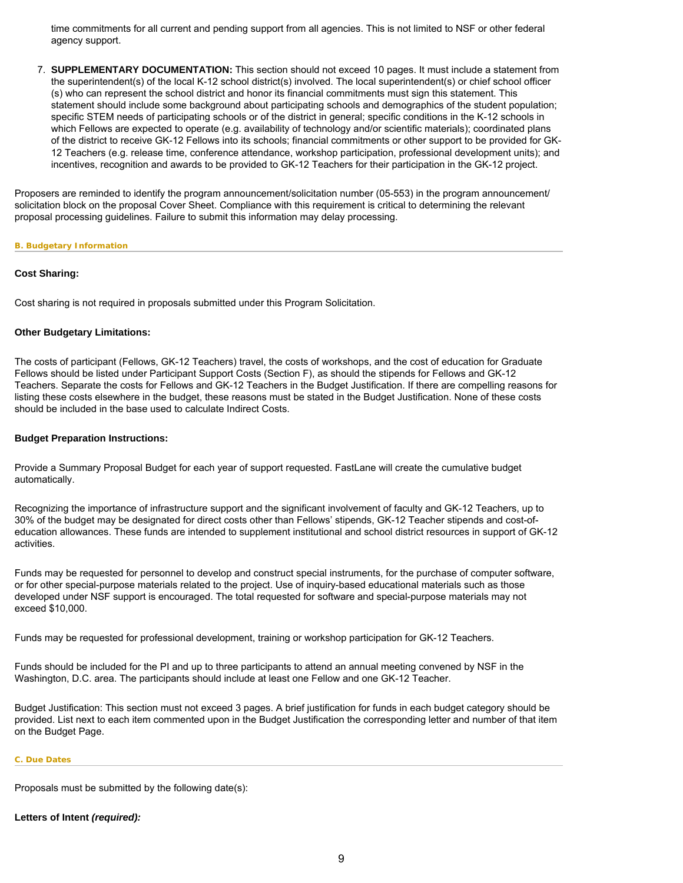time commitments for all current and pending support from all agencies. This is not limited to NSF or other federal agency support.

7. **SUPPLEMENTARY DOCUMENTATION:** This section should not exceed 10 pages. It must include a statement from the superintendent(s) of the local K-12 school district(s) involved. The local superintendent(s) or chief school officer (s) who can represent the school district and honor its financial commitments must sign this statement. This statement should include some background about participating schools and demographics of the student population; specific STEM needs of participating schools or of the district in general; specific conditions in the K-12 schools in which Fellows are expected to operate (e.g. availability of technology and/or scientific materials); coordinated plans of the district to receive GK-12 Fellows into its schools; financial commitments or other support to be provided for GK-12 Teachers (e.g. release time, conference attendance, workshop participation, professional development units); and incentives, recognition and awards to be provided to GK-12 Teachers for their participation in the GK-12 project.

Proposers are reminded to identify the program announcement/solicitation number (05-553) in the program announcement/ solicitation block on the proposal Cover Sheet. Compliance with this requirement is critical to determining the relevant proposal processing guidelines. Failure to submit this information may delay processing.

# <span id="page-8-0"></span>**B. Budgetary Information**

# **Cost Sharing:**

Cost sharing is not required in proposals submitted under this Program Solicitation.

# **Other Budgetary Limitations:**

The costs of participant (Fellows, GK-12 Teachers) travel, the costs of workshops, and the cost of education for Graduate Fellows should be listed under Participant Support Costs (Section F), as should the stipends for Fellows and GK-12 Teachers. Separate the costs for Fellows and GK-12 Teachers in the Budget Justification. If there are compelling reasons for listing these costs elsewhere in the budget, these reasons must be stated in the Budget Justification. None of these costs should be included in the base used to calculate Indirect Costs.

# **Budget Preparation Instructions:**

Provide a Summary Proposal Budget for each year of support requested. FastLane will create the cumulative budget automatically.

Recognizing the importance of infrastructure support and the significant involvement of faculty and GK-12 Teachers, up to 30% of the budget may be designated for direct costs other than Fellows' stipends, GK-12 Teacher stipends and cost-ofeducation allowances. These funds are intended to supplement institutional and school district resources in support of GK-12 activities.

Funds may be requested for personnel to develop and construct special instruments, for the purchase of computer software, or for other special-purpose materials related to the project. Use of inquiry-based educational materials such as those developed under NSF support is encouraged. The total requested for software and special-purpose materials may not exceed \$10,000.

Funds may be requested for professional development, training or workshop participation for GK-12 Teachers.

Funds should be included for the PI and up to three participants to attend an annual meeting convened by NSF in the Washington, D.C. area. The participants should include at least one Fellow and one GK-12 Teacher.

Budget Justification: This section must not exceed 3 pages. A brief justification for funds in each budget category should be provided. List next to each item commented upon in the Budget Justification the corresponding letter and number of that item on the Budget Page.

#### <span id="page-8-1"></span>**C. Due Dates**

Proposals must be submitted by the following date(s):

# **Letters of Intent** *(required):*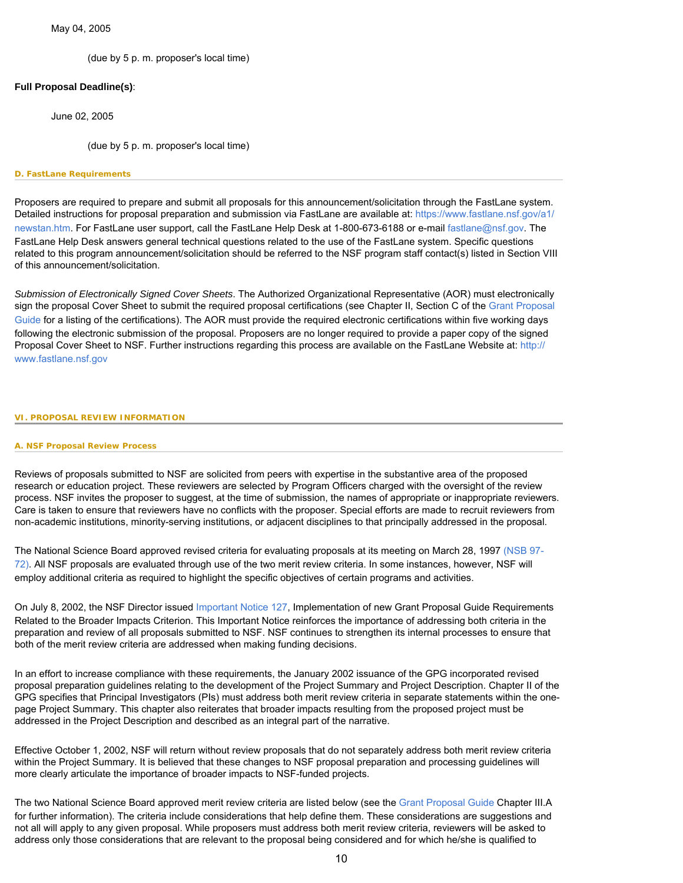# May 04, 2005

(due by 5 p. m. proposer's local time)

# **Full Proposal Deadline(s)**:

June 02, 2005

(due by 5 p. m. proposer's local time)

### <span id="page-9-0"></span>**D. FastLane Requirements**

Proposers are required to prepare and submit all proposals for this announcement/solicitation through the FastLane system. Detailed instructions for proposal preparation and submission via FastLane are available at: [https://www.fastlane.nsf.gov/a1/](https://www.fastlane.nsf.gov/a1/newstan.htm) [newstan.htm](https://www.fastlane.nsf.gov/a1/newstan.htm). For FastLane user support, call the FastLane Help Desk at 1-800-673-6188 or e-mail [fastlane@nsf.gov.](mailto:fastlane@nsf.gov) The FastLane Help Desk answers general technical questions related to the use of the FastLane system. Specific questions related to this program announcement/solicitation should be referred to the NSF program staff contact(s) listed in Section VIII of this announcement/solicitation.

*Submission of Electronically Signed Cover Sheets*. The Authorized Organizational Representative (AOR) must electronically sign the proposal Cover Sheet to submit the required proposal certifications (see Chapter II, Section C of the Grant Proposal [Guide](http://www.nsf.gov/pubsys/ods/getpub.cfm?gpg) for a listing of the certifications). The AOR must provide the required electronic certifications within five working days following the electronic submission of the proposal. Proposers are no longer required to provide a paper copy of the signed Proposal Cover Sheet to NSF. Further instructions regarding this process are available on the FastLane Website at: [http://](http://www.fastlane.nsf.gov/) [www.fastlane.nsf.gov](http://www.fastlane.nsf.gov/)

### <span id="page-9-2"></span><span id="page-9-1"></span>**VI. PROPOSAL REVIEW INFORMATION**

### **A. NSF Proposal Review Process**

Reviews of proposals submitted to NSF are solicited from peers with expertise in the substantive area of the proposed research or education project. These reviewers are selected by Program Officers charged with the oversight of the review process. NSF invites the proposer to suggest, at the time of submission, the names of appropriate or inappropriate reviewers. Care is taken to ensure that reviewers have no conflicts with the proposer. Special efforts are made to recruit reviewers from non-academic institutions, minority-serving institutions, or adjacent disciplines to that principally addressed in the proposal.

The National Science Board approved revised criteria for evaluating proposals at its meeting on March 28, 1997 [\(NSB 97-](http://www.nsf.gov/pubsys/ods/getpub.cfm?nsb9772) [72\).](http://www.nsf.gov/pubsys/ods/getpub.cfm?nsb9772) All NSF proposals are evaluated through use of the two merit review criteria. In some instances, however, NSF will employ additional criteria as required to highlight the specific objectives of certain programs and activities.

On July 8, 2002, the NSF Director issued [Important Notice 127,](http://www.nsf.gov/pubsys/ods/getpub.cfm?iin127) Implementation of new Grant Proposal Guide Requirements Related to the Broader Impacts Criterion. This Important Notice reinforces the importance of addressing both criteria in the preparation and review of all proposals submitted to NSF. NSF continues to strengthen its internal processes to ensure that both of the merit review criteria are addressed when making funding decisions.

In an effort to increase compliance with these requirements, the January 2002 issuance of the GPG incorporated revised proposal preparation guidelines relating to the development of the Project Summary and Project Description. Chapter II of the GPG specifies that Principal Investigators (PIs) must address both merit review criteria in separate statements within the onepage Project Summary. This chapter also reiterates that broader impacts resulting from the proposed project must be addressed in the Project Description and described as an integral part of the narrative.

Effective October 1, 2002, NSF will return without review proposals that do not separately address both merit review criteria within the Project Summary. It is believed that these changes to NSF proposal preparation and processing guidelines will more clearly articulate the importance of broader impacts to NSF-funded projects.

The two National Science Board approved merit review criteria are listed below (see the [Grant Proposal Guide](http://www.nsf.gov/pubsys/ods/getpub.cfm?gpg) Chapter III.A for further information). The criteria include considerations that help define them. These considerations are suggestions and not all will apply to any given proposal. While proposers must address both merit review criteria, reviewers will be asked to address only those considerations that are relevant to the proposal being considered and for which he/she is qualified to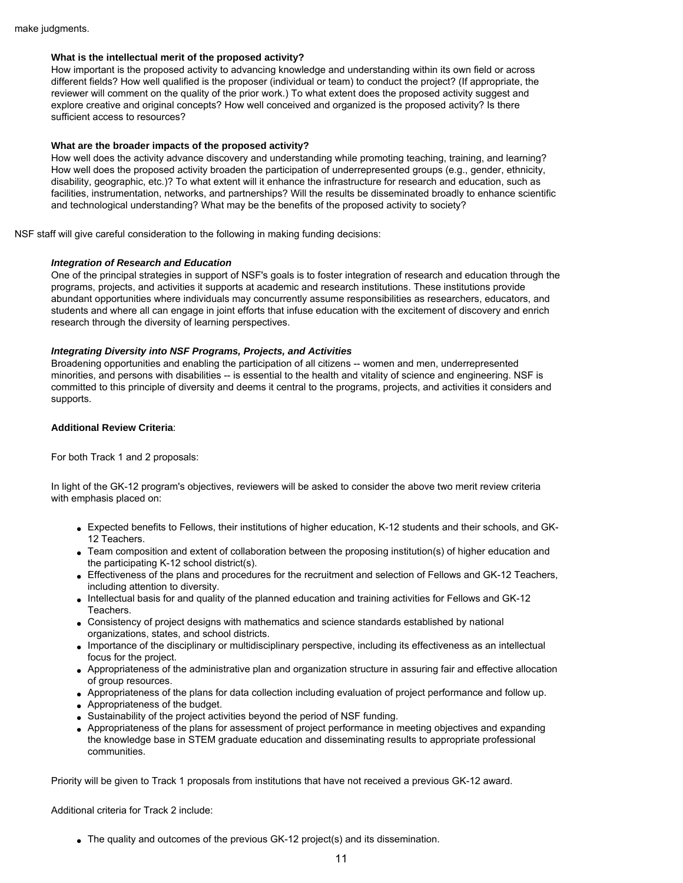# **What is the intellectual merit of the proposed activity?**

How important is the proposed activity to advancing knowledge and understanding within its own field or across different fields? How well qualified is the proposer (individual or team) to conduct the project? (If appropriate, the reviewer will comment on the quality of the prior work.) To what extent does the proposed activity suggest and explore creative and original concepts? How well conceived and organized is the proposed activity? Is there sufficient access to resources?

# **What are the broader impacts of the proposed activity?**

How well does the activity advance discovery and understanding while promoting teaching, training, and learning? How well does the proposed activity broaden the participation of underrepresented groups (e.g., gender, ethnicity, disability, geographic, etc.)? To what extent will it enhance the infrastructure for research and education, such as facilities, instrumentation, networks, and partnerships? Will the results be disseminated broadly to enhance scientific and technological understanding? What may be the benefits of the proposed activity to society?

NSF staff will give careful consideration to the following in making funding decisions:

# *Integration of Research and Education*

One of the principal strategies in support of NSF's goals is to foster integration of research and education through the programs, projects, and activities it supports at academic and research institutions. These institutions provide abundant opportunities where individuals may concurrently assume responsibilities as researchers, educators, and students and where all can engage in joint efforts that infuse education with the excitement of discovery and enrich research through the diversity of learning perspectives.

# *Integrating Diversity into NSF Programs, Projects, and Activities*

Broadening opportunities and enabling the participation of all citizens -- women and men, underrepresented minorities, and persons with disabilities -- is essential to the health and vitality of science and engineering. NSF is committed to this principle of diversity and deems it central to the programs, projects, and activities it considers and supports.

# **Additional Review Criteria**:

For both Track 1 and 2 proposals:

In light of the GK-12 program's objectives, reviewers will be asked to consider the above two merit review criteria with emphasis placed on:

- Expected benefits to Fellows, their institutions of higher education, K-12 students and their schools, and GK-12 Teachers.
- Team composition and extent of collaboration between the proposing institution(s) of higher education and the participating K-12 school district(s).
- Effectiveness of the plans and procedures for the recruitment and selection of Fellows and GK-12 Teachers, including attention to diversity.
- Intellectual basis for and quality of the planned education and training activities for Fellows and GK-12 Teachers.
- Consistency of project designs with mathematics and science standards established by national organizations, states, and school districts.
- Importance of the disciplinary or multidisciplinary perspective, including its effectiveness as an intellectual focus for the project.
- Appropriateness of the administrative plan and organization structure in assuring fair and effective allocation of group resources.
- Appropriateness of the plans for data collection including evaluation of project performance and follow up.
- Appropriateness of the budget.
- Sustainability of the project activities beyond the period of NSF funding.
- Appropriateness of the plans for assessment of project performance in meeting objectives and expanding the knowledge base in STEM graduate education and disseminating results to appropriate professional communities.

Priority will be given to Track 1 proposals from institutions that have not received a previous GK-12 award.

Additional criteria for Track 2 include:

• The quality and outcomes of the previous GK-12 project(s) and its dissemination.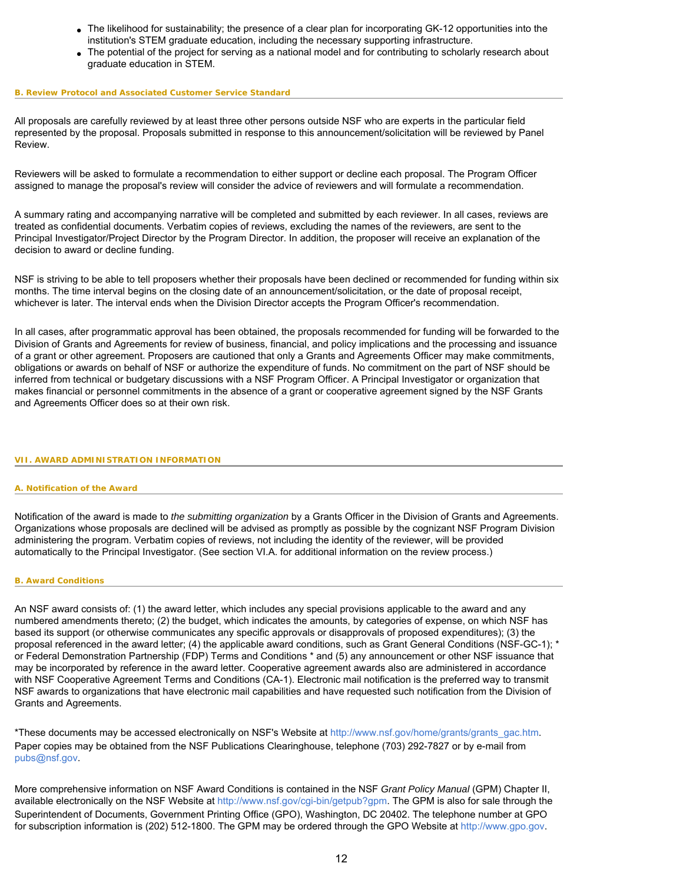- The likelihood for sustainability; the presence of a clear plan for incorporating GK-12 opportunities into the institution's STEM graduate education, including the necessary supporting infrastructure.
- The potential of the project for serving as a national model and for contributing to scholarly research about graduate education in STEM.

#### <span id="page-11-0"></span>**B. Review Protocol and Associated Customer Service Standard**

All proposals are carefully reviewed by at least three other persons outside NSF who are experts in the particular field represented by the proposal. Proposals submitted in response to this announcement/solicitation will be reviewed by Panel Review.

Reviewers will be asked to formulate a recommendation to either support or decline each proposal. The Program Officer assigned to manage the proposal's review will consider the advice of reviewers and will formulate a recommendation.

A summary rating and accompanying narrative will be completed and submitted by each reviewer. In all cases, reviews are treated as confidential documents. Verbatim copies of reviews, excluding the names of the reviewers, are sent to the Principal Investigator/Project Director by the Program Director. In addition, the proposer will receive an explanation of the decision to award or decline funding.

NSF is striving to be able to tell proposers whether their proposals have been declined or recommended for funding within six months. The time interval begins on the closing date of an announcement/solicitation, or the date of proposal receipt, whichever is later. The interval ends when the Division Director accepts the Program Officer's recommendation.

In all cases, after programmatic approval has been obtained, the proposals recommended for funding will be forwarded to the Division of Grants and Agreements for review of business, financial, and policy implications and the processing and issuance of a grant or other agreement. Proposers are cautioned that only a Grants and Agreements Officer may make commitments, obligations or awards on behalf of NSF or authorize the expenditure of funds. No commitment on the part of NSF should be inferred from technical or budgetary discussions with a NSF Program Officer. A Principal Investigator or organization that makes financial or personnel commitments in the absence of a grant or cooperative agreement signed by the NSF Grants and Agreements Officer does so at their own risk.

# <span id="page-11-2"></span><span id="page-11-1"></span>**VII. AWARD ADMINISTRATION INFORMATION**

# **A. Notification of the Award**

Notification of the award is made to *the submitting organization* by a Grants Officer in the Division of Grants and Agreements. Organizations whose proposals are declined will be advised as promptly as possible by the cognizant NSF Program Division administering the program. Verbatim copies of reviews, not including the identity of the reviewer, will be provided automatically to the Principal Investigator. (See section VI.A. for additional information on the review process.)

# <span id="page-11-3"></span>**B. Award Conditions**

An NSF award consists of: (1) the award letter, which includes any special provisions applicable to the award and any numbered amendments thereto; (2) the budget, which indicates the amounts, by categories of expense, on which NSF has based its support (or otherwise communicates any specific approvals or disapprovals of proposed expenditures); (3) the proposal referenced in the award letter; (4) the applicable award conditions, such as Grant General Conditions (NSF-GC-1); \* or Federal Demonstration Partnership (FDP) Terms and Conditions \* and (5) any announcement or other NSF issuance that may be incorporated by reference in the award letter. Cooperative agreement awards also are administered in accordance with NSF Cooperative Agreement Terms and Conditions (CA-1). Electronic mail notification is the preferred way to transmit NSF awards to organizations that have electronic mail capabilities and have requested such notification from the Division of Grants and Agreements.

\*These documents may be accessed electronically on NSF's Website at [http://www.nsf.gov/home/grants/grants\\_gac.htm](http://www.nsf.gov/awards/managing/general_conditions.jsp) Paper copies may be obtained from the NSF Publications Clearinghouse, telephone (703) 292-7827 or by e-mail from [pubs@nsf.gov.](mailto:pubs@nsf.gov)

More comprehensive information on NSF Award Conditions is contained in the NSF *Grant Policy Manual* (GPM) Chapter II, available electronically on the NSF Website at<http://www.nsf.gov/cgi-bin/getpub?gpm>. The GPM is also for sale through the Superintendent of Documents, Government Printing Office (GPO), Washington, DC 20402. The telephone number at GPO for subscription information is (202) 512-1800. The GPM may be ordered through the GPO Website at [http://www.gpo.gov](http://www.gpo.gov/).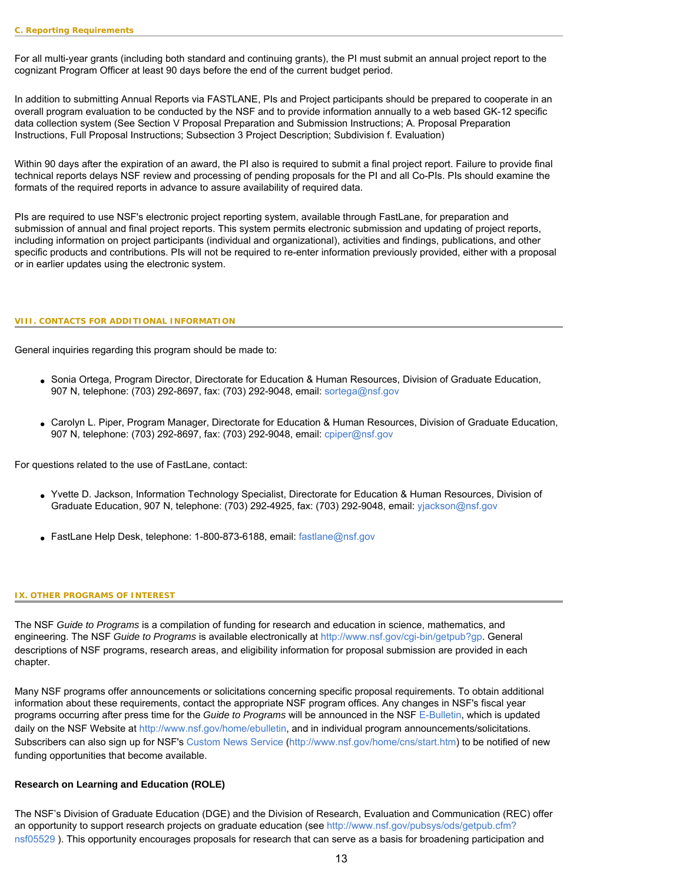<span id="page-12-0"></span>For all multi-year grants (including both standard and continuing grants), the PI must submit an annual project report to the cognizant Program Officer at least 90 days before the end of the current budget period.

In addition to submitting Annual Reports via FASTLANE, PIs and Project participants should be prepared to cooperate in an overall program evaluation to be conducted by the NSF and to provide information annually to a web based GK-12 specific data collection system (See Section V Proposal Preparation and Submission Instructions; A. Proposal Preparation Instructions, Full Proposal Instructions; Subsection 3 Project Description; Subdivision f. Evaluation)

Within 90 days after the expiration of an award, the PI also is required to submit a final project report. Failure to provide final technical reports delays NSF review and processing of pending proposals for the PI and all Co-PIs. PIs should examine the formats of the required reports in advance to assure availability of required data.

PIs are required to use NSF's electronic project reporting system, available through FastLane, for preparation and submission of annual and final project reports. This system permits electronic submission and updating of project reports, including information on project participants (individual and organizational), activities and findings, publications, and other specific products and contributions. PIs will not be required to re-enter information previously provided, either with a proposal or in earlier updates using the electronic system.

#### <span id="page-12-1"></span>**VIII. CONTACTS FOR ADDITIONAL INFORMATION**

General inquiries regarding this program should be made to:

- Sonia Ortega, Program Director, Directorate for Education & Human Resources, Division of Graduate Education, 907 N, telephone: (703) 292-8697, fax: (703) 292-9048, email: [sortega@nsf.gov](mailto:sortega@nsf.gov)
- Carolyn L. Piper, Program Manager, Directorate for Education & Human Resources, Division of Graduate Education, 907 N, telephone: (703) 292-8697, fax: (703) 292-9048, email: [cpiper@nsf.gov](mailto:cpiper@nsf.gov)

For questions related to the use of FastLane, contact:

- Yvette D. Jackson, Information Technology Specialist, Directorate for Education & Human Resources, Division of Graduate Education, 907 N, telephone: (703) 292-4925, fax: (703) 292-9048, email: [yjackson@nsf.gov](mailto:yjackson@nsf.gov)
- FastLane Help Desk, telephone: 1-800-873-6188, email: [fastlane@nsf.gov](mailto:fastlane@nsf.gov)

#### <span id="page-12-2"></span>**IX. OTHER PROGRAMS OF INTEREST**

The NSF *Guide to Programs* is a compilation of funding for research and education in science, mathematics, and engineering. The NSF *Guide to Programs* is available electronically at <http://www.nsf.gov/cgi-bin/getpub?gp>. General descriptions of NSF programs, research areas, and eligibility information for proposal submission are provided in each chapter.

Many NSF programs offer announcements or solicitations concerning specific proposal requirements. To obtain additional information about these requirements, contact the appropriate NSF program offices. Any changes in NSF's fiscal year programs occurring after press time for the *Guide to Programs* will be announced in the NSF [E-Bulletin,](http://www.nsf.gov/funding/pgm_list.jsp?org=NSF&ord=date) which is updated daily on the NSF Website at [http://www.nsf.gov/home/ebulletin,](http://www.nsf.gov/funding/pgm_list.jsp?org=NSF&ord=date) and in individual program announcements/solicitations. Subscribers can also sign up for NSF's [Custom News Service](http://www.nsf.gov/home/cns/start.htm) [\(http://www.nsf.gov/home/cns/start.htm](http://www.nsf.gov/home/cns/start.htm)) to be notified of new funding opportunities that become available.

# **Research on Learning and Education (ROLE)**

The NSF's Division of Graduate Education (DGE) and the Division of Research, Evaluation and Communication (REC) offer an opportunity to support research projects on graduate education (see [http://www.nsf.gov/pubsys/ods/getpub.cfm?](http://www.nsf.gov/pubsys/ods/getpub.cfm?nsf05529) [nsf05529](http://www.nsf.gov/pubsys/ods/getpub.cfm?nsf05529) ). This opportunity encourages proposals for research that can serve as a basis for broadening participation and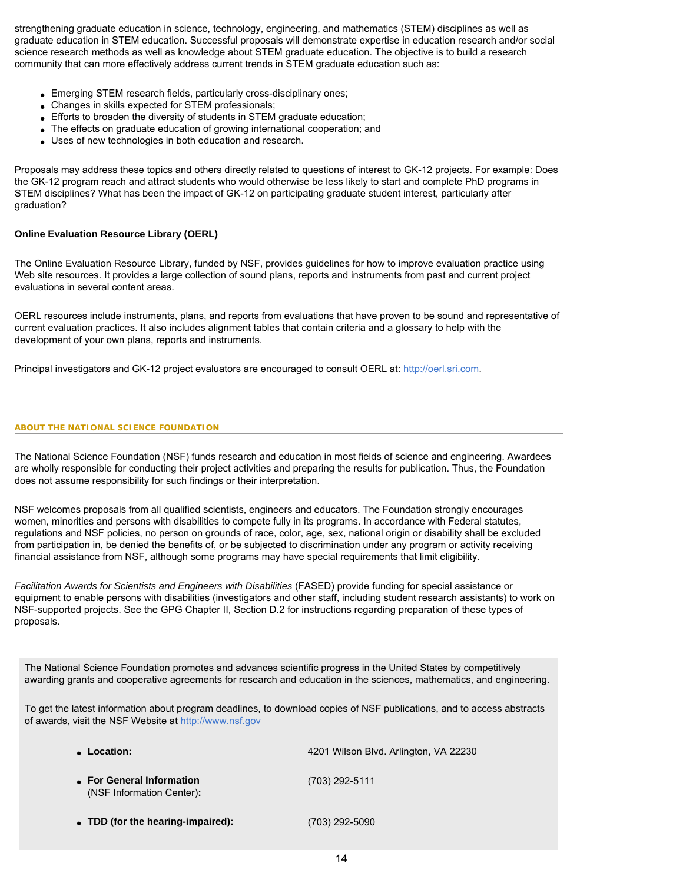strengthening graduate education in science, technology, engineering, and mathematics (STEM) disciplines as well as graduate education in STEM education. Successful proposals will demonstrate expertise in education research and/or social science research methods as well as knowledge about STEM graduate education. The objective is to build a research community that can more effectively address current trends in STEM graduate education such as:

- Emerging STEM research fields, particularly cross-disciplinary ones;
- Changes in skills expected for STEM professionals;
- Efforts to broaden the diversity of students in STEM graduate education;
- The effects on graduate education of growing international cooperation; and
- Uses of new technologies in both education and research.

Proposals may address these topics and others directly related to questions of interest to GK-12 projects. For example: Does the GK-12 program reach and attract students who would otherwise be less likely to start and complete PhD programs in STEM disciplines? What has been the impact of GK-12 on participating graduate student interest, particularly after graduation?

# **Online Evaluation Resource Library (OERL)**

The Online Evaluation Resource Library, funded by NSF, provides guidelines for how to improve evaluation practice using Web site resources. It provides a large collection of sound plans, reports and instruments from past and current project evaluations in several content areas.

OERL resources include instruments, plans, and reports from evaluations that have proven to be sound and representative of current evaluation practices. It also includes alignment tables that contain criteria and a glossary to help with the development of your own plans, reports and instruments.

Principal investigators and GK-12 project evaluators are encouraged to consult OERL at: [http://oerl.sri.com](http://oerl.sri.com/).

# **ABOUT THE NATIONAL SCIENCE FOUNDATION**

The National Science Foundation (NSF) funds research and education in most fields of science and engineering. Awardees are wholly responsible for conducting their project activities and preparing the results for publication. Thus, the Foundation does not assume responsibility for such findings or their interpretation.

NSF welcomes proposals from all qualified scientists, engineers and educators. The Foundation strongly encourages women, minorities and persons with disabilities to compete fully in its programs. In accordance with Federal statutes, regulations and NSF policies, no person on grounds of race, color, age, sex, national origin or disability shall be excluded from participation in, be denied the benefits of, or be subjected to discrimination under any program or activity receiving financial assistance from NSF, although some programs may have special requirements that limit eligibility.

*Facilitation Awards for Scientists and Engineers with Disabilities* (FASED) provide funding for special assistance or equipment to enable persons with disabilities (investigators and other staff, including student research assistants) to work on NSF-supported projects. See the GPG Chapter II, Section D.2 for instructions regarding preparation of these types of proposals.

The National Science Foundation promotes and advances scientific progress in the United States by competitively awarding grants and cooperative agreements for research and education in the sciences, mathematics, and engineering.

To get the latest information about program deadlines, to download copies of NSF publications, and to access abstracts of awards, visit the NSF Website at [http://www.nsf.gov](http://www.nsf.gov/)

| • Location:                                            | 4201 Wilson Blvd. Arlington, VA 22230 |
|--------------------------------------------------------|---------------------------------------|
| • For General Information<br>(NSF Information Center): | $(703)$ 292-5111                      |
| • TDD (for the hearing-impaired):                      | (703) 292-5090                        |